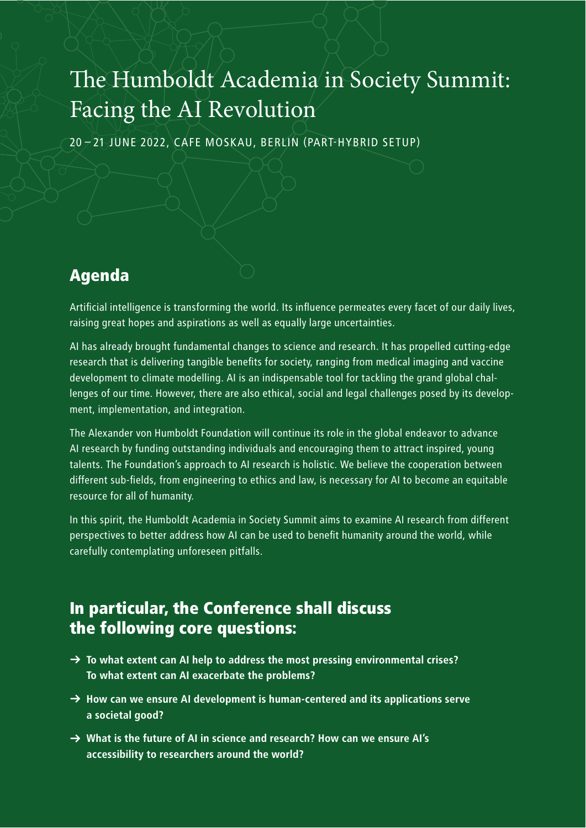## The Humboldt Academia in Society Summit: Facing the AI Revolution

20 – 21 JUNE 2022, CAFE MOSKAU, BERLIN (PART-HYBRID SETUP)

## Agenda

Artificial intelligence is transforming the world. Its influence permeates every facet of our daily lives, raising great hopes and aspirations as well as equally large uncertainties.

AI has already brought fundamental changes to science and research. It has propelled cutting-edge research that is delivering tangible benefits for society, ranging from medical imaging and vaccine development to climate modelling. AI is an indispensable tool for tackling the grand global challenges of our time. However, there are also ethical, social and legal challenges posed by its development, implementation, and integration.

The Alexander von Humboldt Foundation will continue its role in the global endeavor to advance AI research by funding outstanding individuals and encouraging them to attract inspired, young talents. The Foundation's approach to AI research is holistic. We believe the cooperation between different sub-fields, from engineering to ethics and law, is necessary for AI to become an equitable resource for all of humanity.

In this spirit, the Humboldt Academia in Society Summit aims to examine AI research from different perspectives to better address how AI can be used to benefit humanity around the world, while carefully contemplating unforeseen pitfalls.

## In particular, the Conference shall discuss the following core questions:

- $\rightarrow$  To what extent can AI help to address the most pressing environmental crises? To what extent can AI exacerbate the problems?
- $\rightarrow$  How can we ensure AI development is human-centered and its applications serve a societal good?
- $\rightarrow$  What is the future of AI in science and research? How can we ensure AI's accessibility to researchers around the world?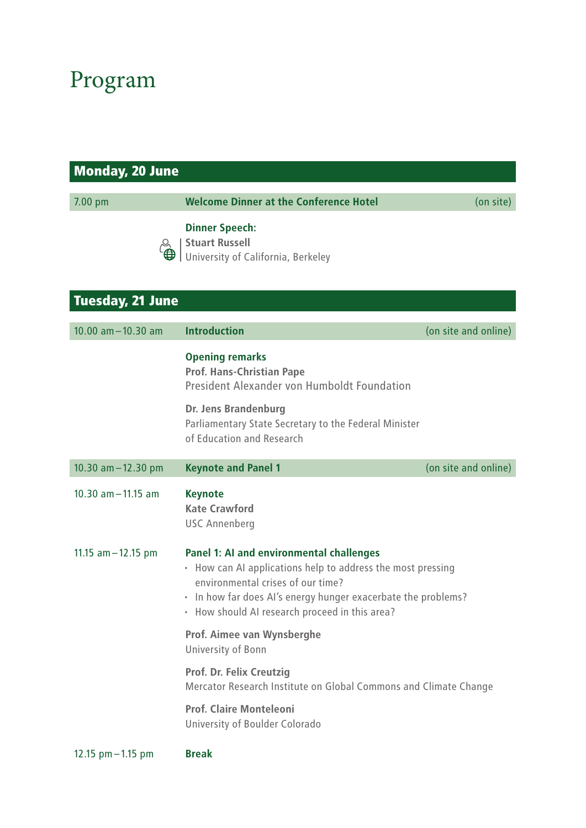## Program

| <b>Monday, 20 June</b>  |                                                                                                                                                                                                                                                                        |                      |
|-------------------------|------------------------------------------------------------------------------------------------------------------------------------------------------------------------------------------------------------------------------------------------------------------------|----------------------|
| 7.00 pm                 | <b>Welcome Dinner at the Conference Hotel</b>                                                                                                                                                                                                                          | (on site)            |
|                         | <b>Dinner Speech:</b><br><b>Stuart Russell</b><br>University of California, Berkeley                                                                                                                                                                                   |                      |
| <b>Tuesday, 21 June</b> |                                                                                                                                                                                                                                                                        |                      |
| $10.00$ am $-10.30$ am  | <b>Introduction</b>                                                                                                                                                                                                                                                    | (on site and online) |
|                         | <b>Opening remarks</b><br><b>Prof. Hans-Christian Pape</b><br>President Alexander von Humboldt Foundation<br><b>Dr. Jens Brandenburg</b><br>Parliamentary State Secretary to the Federal Minister<br>of Education and Research                                         |                      |
| 10.30 $am - 12.30$ pm   | <b>Keynote and Panel 1</b>                                                                                                                                                                                                                                             | (on site and online) |
| $10.30$ am $-11.15$ am  | <b>Keynote</b><br><b>Kate Crawford</b><br><b>USC Annenberg</b>                                                                                                                                                                                                         |                      |
| 11.15 $am - 12.15$ pm   | <b>Panel 1: AI and environmental challenges</b><br>• How can AI applications help to address the most pressing<br>environmental crises of our time?<br>· In how far does AI's energy hunger exacerbate the problems?<br>• How should AI research proceed in this area? |                      |
|                         | Prof. Aimee van Wynsberghe<br>University of Bonn                                                                                                                                                                                                                       |                      |
|                         | Prof. Dr. Felix Creutzig<br>Mercator Research Institute on Global Commons and Climate Change                                                                                                                                                                           |                      |
|                         | <b>Prof. Claire Monteleoni</b><br>University of Boulder Colorado                                                                                                                                                                                                       |                      |
| 12.15 $pm - 1.15$ pm    | <b>Break</b>                                                                                                                                                                                                                                                           |                      |